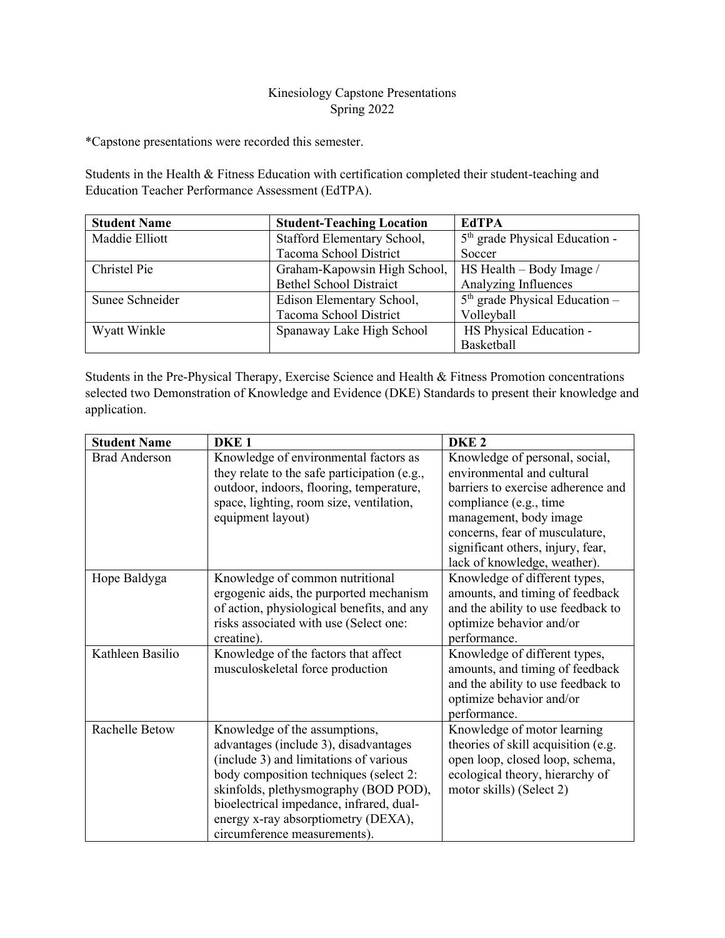## Kinesiology Capstone Presentations Spring 2022

\*Capstone presentations were recorded this semester.

Students in the Health & Fitness Education with certification completed their student-teaching and Education Teacher Performance Assessment (EdTPA).

| <b>Student Name</b> | <b>Student-Teaching Location</b> | <b>EdTPA</b>                     |
|---------------------|----------------------------------|----------------------------------|
| Maddie Elliott      | Stafford Elementary School,      | $5th$ grade Physical Education - |
|                     | Tacoma School District           | Soccer                           |
| Christel Pie        | Graham-Kapowsin High School,     | HS Health - Body Image /         |
|                     | <b>Bethel School Distraict</b>   | Analyzing Influences             |
| Sunee Schneider     | Edison Elementary School,        | $5th$ grade Physical Education – |
|                     | Tacoma School District           | Volleyball                       |
| Wyatt Winkle        | Spanaway Lake High School        | HS Physical Education -          |
|                     |                                  | Basketball                       |

Students in the Pre-Physical Therapy, Exercise Science and Health & Fitness Promotion concentrations selected two Demonstration of Knowledge and Evidence (DKE) Standards to present their knowledge and application.

| <b>Student Name</b>  | DKE <sub>1</sub>                                                                                                                                                                                                                                                                                                       | DKE <sub>2</sub>                                                                                                                                                                                                                                              |
|----------------------|------------------------------------------------------------------------------------------------------------------------------------------------------------------------------------------------------------------------------------------------------------------------------------------------------------------------|---------------------------------------------------------------------------------------------------------------------------------------------------------------------------------------------------------------------------------------------------------------|
| <b>Brad Anderson</b> | Knowledge of environmental factors as<br>they relate to the safe participation (e.g.,<br>outdoor, indoors, flooring, temperature,<br>space, lighting, room size, ventilation,<br>equipment layout)                                                                                                                     | Knowledge of personal, social,<br>environmental and cultural<br>barriers to exercise adherence and<br>compliance (e.g., time<br>management, body image<br>concerns, fear of musculature,<br>significant others, injury, fear,<br>lack of knowledge, weather). |
| Hope Baldyga         | Knowledge of common nutritional<br>ergogenic aids, the purported mechanism<br>of action, physiological benefits, and any<br>risks associated with use (Select one:<br>creatine).                                                                                                                                       | Knowledge of different types,<br>amounts, and timing of feedback<br>and the ability to use feedback to<br>optimize behavior and/or<br>performance.                                                                                                            |
| Kathleen Basilio     | Knowledge of the factors that affect<br>musculoskeletal force production                                                                                                                                                                                                                                               | Knowledge of different types,<br>amounts, and timing of feedback<br>and the ability to use feedback to<br>optimize behavior and/or<br>performance.                                                                                                            |
| Rachelle Betow       | Knowledge of the assumptions,<br>advantages (include 3), disadvantages<br>(include 3) and limitations of various<br>body composition techniques (select 2:<br>skinfolds, plethysmography (BOD POD),<br>bioelectrical impedance, infrared, dual-<br>energy x-ray absorptiometry (DEXA),<br>circumference measurements). | Knowledge of motor learning<br>theories of skill acquisition (e.g.<br>open loop, closed loop, schema,<br>ecological theory, hierarchy of<br>motor skills) (Select 2)                                                                                          |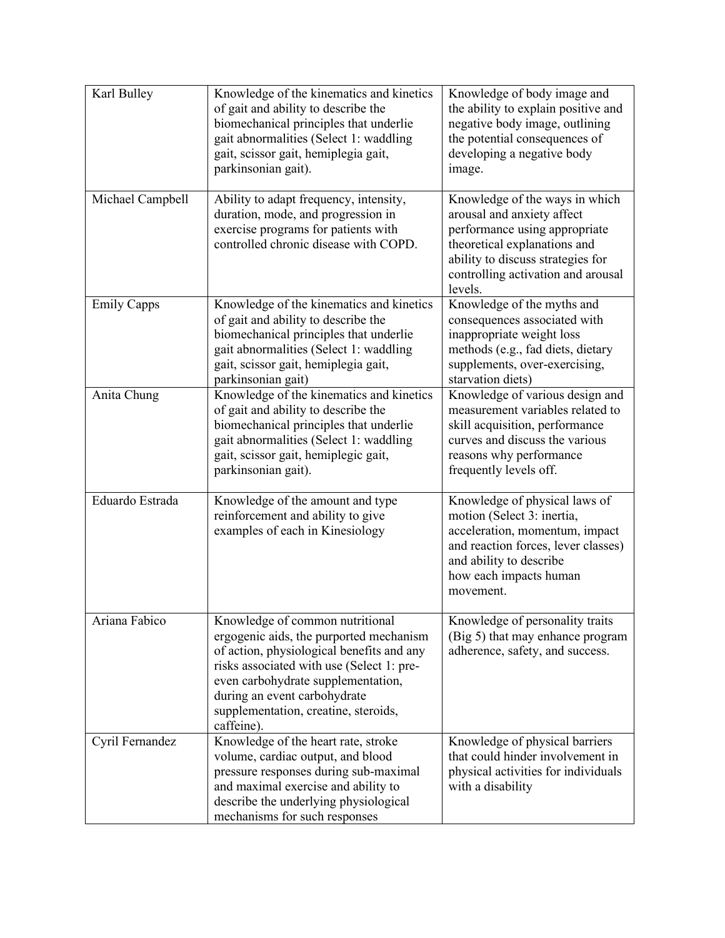| Karl Bulley        | Knowledge of the kinematics and kinetics<br>of gait and ability to describe the<br>biomechanical principles that underlie<br>gait abnormalities (Select 1: waddling<br>gait, scissor gait, hemiplegia gait,<br>parkinsonian gait).                                                               | Knowledge of body image and<br>the ability to explain positive and<br>negative body image, outlining<br>the potential consequences of<br>developing a negative body<br>image.                                       |
|--------------------|--------------------------------------------------------------------------------------------------------------------------------------------------------------------------------------------------------------------------------------------------------------------------------------------------|---------------------------------------------------------------------------------------------------------------------------------------------------------------------------------------------------------------------|
| Michael Campbell   | Ability to adapt frequency, intensity,<br>duration, mode, and progression in<br>exercise programs for patients with<br>controlled chronic disease with COPD.                                                                                                                                     | Knowledge of the ways in which<br>arousal and anxiety affect<br>performance using appropriate<br>theoretical explanations and<br>ability to discuss strategies for<br>controlling activation and arousal<br>levels. |
| <b>Emily Capps</b> | Knowledge of the kinematics and kinetics<br>of gait and ability to describe the<br>biomechanical principles that underlie<br>gait abnormalities (Select 1: waddling<br>gait, scissor gait, hemiplegia gait,<br>parkinsonian gait)                                                                | Knowledge of the myths and<br>consequences associated with<br>inappropriate weight loss<br>methods (e.g., fad diets, dietary<br>supplements, over-exercising,<br>starvation diets)                                  |
| Anita Chung        | Knowledge of the kinematics and kinetics<br>of gait and ability to describe the<br>biomechanical principles that underlie<br>gait abnormalities (Select 1: waddling<br>gait, scissor gait, hemiplegic gait,<br>parkinsonian gait).                                                               | Knowledge of various design and<br>measurement variables related to<br>skill acquisition, performance<br>curves and discuss the various<br>reasons why performance<br>frequently levels off.                        |
| Eduardo Estrada    | Knowledge of the amount and type<br>reinforcement and ability to give<br>examples of each in Kinesiology                                                                                                                                                                                         | Knowledge of physical laws of<br>motion (Select 3: inertia,<br>acceleration, momentum, impact<br>and reaction forces, lever classes)<br>and ability to describe<br>how each impacts human<br>movement.              |
| Ariana Fabico      | Knowledge of common nutritional<br>ergogenic aids, the purported mechanism<br>of action, physiological benefits and any<br>risks associated with use (Select 1: pre-<br>even carbohydrate supplementation,<br>during an event carbohydrate<br>supplementation, creatine, steroids,<br>caffeine). | Knowledge of personality traits<br>(Big 5) that may enhance program<br>adherence, safety, and success.                                                                                                              |
| Cyril Fernandez    | Knowledge of the heart rate, stroke<br>volume, cardiac output, and blood<br>pressure responses during sub-maximal<br>and maximal exercise and ability to<br>describe the underlying physiological<br>mechanisms for such responses                                                               | Knowledge of physical barriers<br>that could hinder involvement in<br>physical activities for individuals<br>with a disability                                                                                      |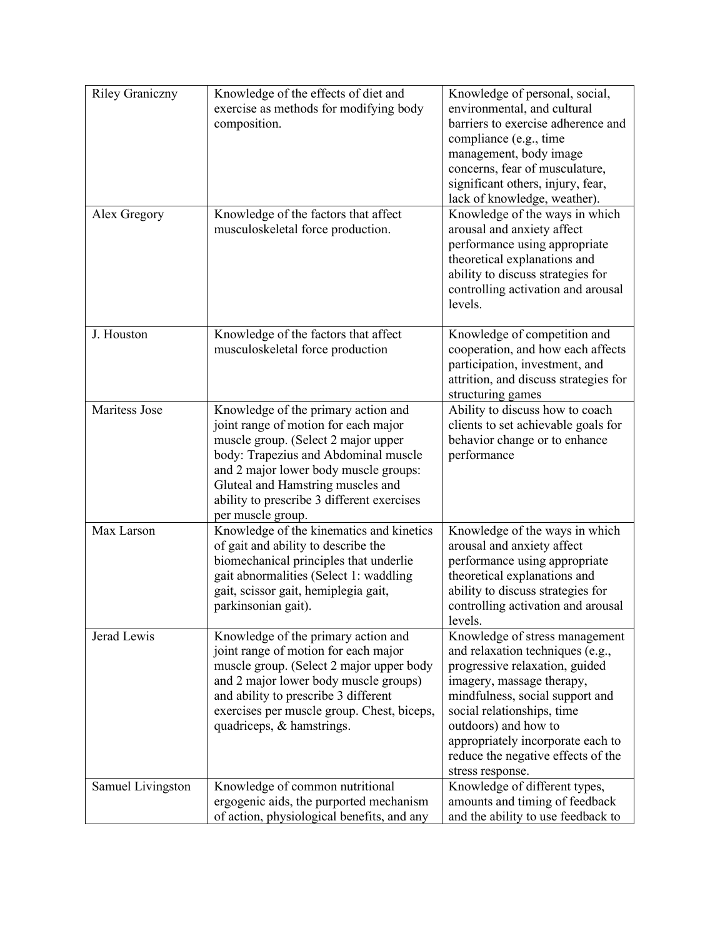| <b>Riley Graniczny</b><br>Alex Gregory | Knowledge of the effects of diet and<br>exercise as methods for modifying body<br>composition.<br>Knowledge of the factors that affect<br>musculoskeletal force production.                                                                                                                                 | Knowledge of personal, social,<br>environmental, and cultural<br>barriers to exercise adherence and<br>compliance (e.g., time<br>management, body image<br>concerns, fear of musculature,<br>significant others, injury, fear,<br>lack of knowledge, weather).<br>Knowledge of the ways in which<br>arousal and anxiety affect<br>performance using appropriate<br>theoretical explanations and<br>ability to discuss strategies for<br>controlling activation and arousal<br>levels. |
|----------------------------------------|-------------------------------------------------------------------------------------------------------------------------------------------------------------------------------------------------------------------------------------------------------------------------------------------------------------|---------------------------------------------------------------------------------------------------------------------------------------------------------------------------------------------------------------------------------------------------------------------------------------------------------------------------------------------------------------------------------------------------------------------------------------------------------------------------------------|
| J. Houston                             | Knowledge of the factors that affect<br>musculoskeletal force production                                                                                                                                                                                                                                    | Knowledge of competition and<br>cooperation, and how each affects<br>participation, investment, and<br>attrition, and discuss strategies for<br>structuring games                                                                                                                                                                                                                                                                                                                     |
| Maritess Jose                          | Knowledge of the primary action and<br>joint range of motion for each major<br>muscle group. (Select 2 major upper<br>body: Trapezius and Abdominal muscle<br>and 2 major lower body muscle groups:<br>Gluteal and Hamstring muscles and<br>ability to prescribe 3 different exercises<br>per muscle group. | Ability to discuss how to coach<br>clients to set achievable goals for<br>behavior change or to enhance<br>performance                                                                                                                                                                                                                                                                                                                                                                |
| Max Larson                             | Knowledge of the kinematics and kinetics<br>of gait and ability to describe the<br>biomechanical principles that underlie<br>gait abnormalities (Select 1: waddling<br>gait, scissor gait, hemiplegia gait,<br>parkinsonian gait).                                                                          | Knowledge of the ways in which<br>arousal and anxiety affect<br>performance using appropriate<br>theoretical explanations and<br>ability to discuss strategies for<br>controlling activation and arousal<br>levels.                                                                                                                                                                                                                                                                   |
| Jerad Lewis                            | Knowledge of the primary action and<br>joint range of motion for each major<br>muscle group. (Select 2 major upper body<br>and 2 major lower body muscle groups)<br>and ability to prescribe 3 different<br>exercises per muscle group. Chest, biceps,<br>quadriceps, & hamstrings.                         | Knowledge of stress management<br>and relaxation techniques (e.g.,<br>progressive relaxation, guided<br>imagery, massage therapy,<br>mindfulness, social support and<br>social relationships, time<br>outdoors) and how to<br>appropriately incorporate each to<br>reduce the negative effects of the<br>stress response.                                                                                                                                                             |
| Samuel Livingston                      | Knowledge of common nutritional<br>ergogenic aids, the purported mechanism<br>of action, physiological benefits, and any                                                                                                                                                                                    | Knowledge of different types,<br>amounts and timing of feedback<br>and the ability to use feedback to                                                                                                                                                                                                                                                                                                                                                                                 |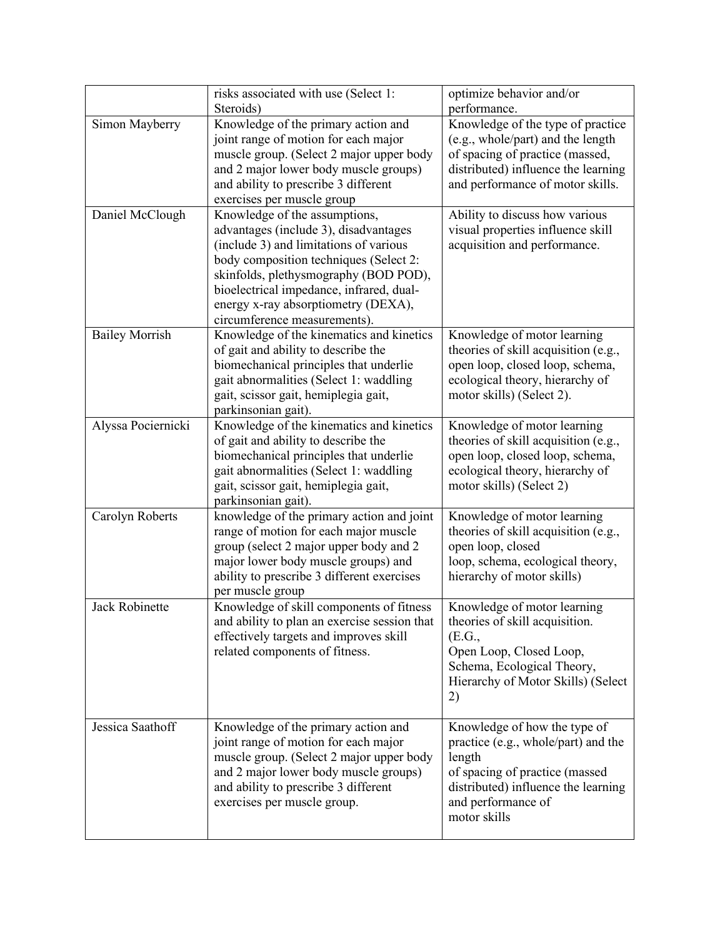|                       | risks associated with use (Select 1:<br>Steroids)                                                                                                                                                                                                                                                                      | optimize behavior and/or<br>performance.                                                                                                                                                     |
|-----------------------|------------------------------------------------------------------------------------------------------------------------------------------------------------------------------------------------------------------------------------------------------------------------------------------------------------------------|----------------------------------------------------------------------------------------------------------------------------------------------------------------------------------------------|
| Simon Mayberry        | Knowledge of the primary action and<br>joint range of motion for each major<br>muscle group. (Select 2 major upper body<br>and 2 major lower body muscle groups)<br>and ability to prescribe 3 different<br>exercises per muscle group                                                                                 | Knowledge of the type of practice<br>(e.g., whole/part) and the length<br>of spacing of practice (massed,<br>distributed) influence the learning<br>and performance of motor skills.         |
| Daniel McClough       | Knowledge of the assumptions,<br>advantages (include 3), disadvantages<br>(include 3) and limitations of various<br>body composition techniques (Select 2:<br>skinfolds, plethysmography (BOD POD),<br>bioelectrical impedance, infrared, dual-<br>energy x-ray absorptiometry (DEXA),<br>circumference measurements). | Ability to discuss how various<br>visual properties influence skill<br>acquisition and performance.                                                                                          |
| <b>Bailey Morrish</b> | Knowledge of the kinematics and kinetics<br>of gait and ability to describe the<br>biomechanical principles that underlie<br>gait abnormalities (Select 1: waddling<br>gait, scissor gait, hemiplegia gait,<br>parkinsonian gait).                                                                                     | Knowledge of motor learning<br>theories of skill acquisition (e.g.,<br>open loop, closed loop, schema,<br>ecological theory, hierarchy of<br>motor skills) (Select 2).                       |
| Alyssa Pociernicki    | Knowledge of the kinematics and kinetics<br>of gait and ability to describe the<br>biomechanical principles that underlie<br>gait abnormalities (Select 1: waddling<br>gait, scissor gait, hemiplegia gait,<br>parkinsonian gait).                                                                                     | Knowledge of motor learning<br>theories of skill acquisition (e.g.,<br>open loop, closed loop, schema,<br>ecological theory, hierarchy of<br>motor skills) (Select 2)                        |
| Carolyn Roberts       | knowledge of the primary action and joint<br>range of motion for each major muscle<br>group (select 2 major upper body and 2<br>major lower body muscle groups) and<br>ability to prescribe 3 different exercises<br>per muscle group                                                                                  | Knowledge of motor learning<br>theories of skill acquisition (e.g.,<br>open loop, closed<br>loop, schema, ecological theory,<br>hierarchy of motor skills)                                   |
| Jack Robinette        | Knowledge of skill components of fitness<br>and ability to plan an exercise session that<br>effectively targets and improves skill<br>related components of fitness.                                                                                                                                                   | Knowledge of motor learning<br>theories of skill acquisition.<br>(E.G.,<br>Open Loop, Closed Loop,<br>Schema, Ecological Theory,<br>Hierarchy of Motor Skills) (Select<br>2)                 |
| Jessica Saathoff      | Knowledge of the primary action and<br>joint range of motion for each major<br>muscle group. (Select 2 major upper body<br>and 2 major lower body muscle groups)<br>and ability to prescribe 3 different<br>exercises per muscle group.                                                                                | Knowledge of how the type of<br>practice (e.g., whole/part) and the<br>length<br>of spacing of practice (massed<br>distributed) influence the learning<br>and performance of<br>motor skills |